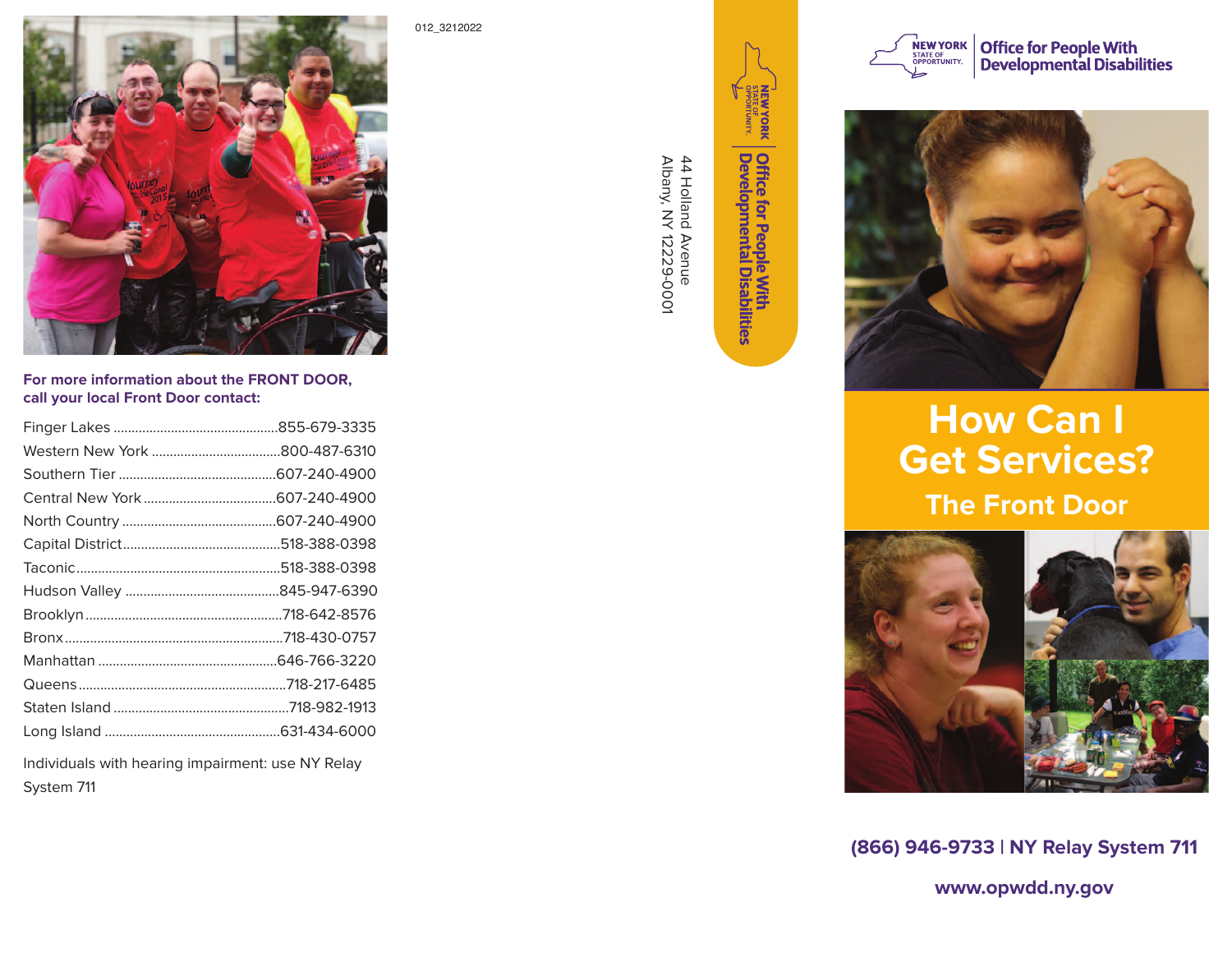

**For more information about the FRONT DOOR, call your local Front Door contact:** 

Individuals with hearing impairment: use NY Relay System 711

012\_3212022

**MEWYORK** 



Office for People With<br>Developmental Disabilities

Albany, NY 12229-0001 44 Holland Avenue

44 Holland Avenue<br>Albany, NY 12229-0001



Office for People With<br>Developmental Disabilities



## **How Can I Get Services? The Front Door**



**(866) 946-9733 | NY Relay System 711** 

**www.opwdd.ny.gov**